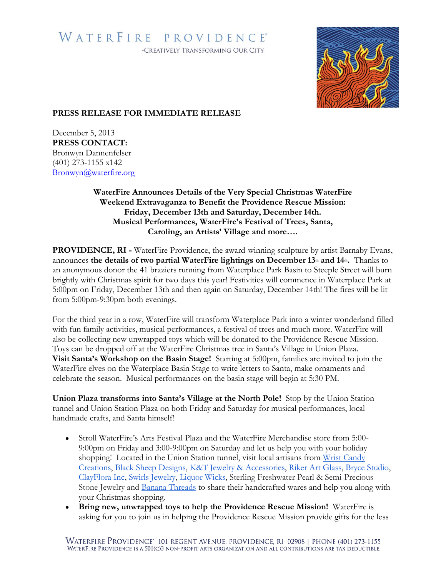## WATERFIRE PROVIDENCE® -CREATIVELY TRANSFORMING OUR CITY



## **PRESS RELEASE FOR IMMEDIATE RELEASE**

December 5, 2013 **PRESS CONTACT:** Bronwyn Dannenfelser (401) 273-1155 x142 [Bronwyn@waterfire.org](mailto:Bronwyn@waterfire.org)

> **WaterFire Announces Details of the Very Special Christmas WaterFire Weekend Extravaganza to Benefit the Providence Rescue Mission: Friday, December 13th and Saturday, December 14th. Musical Performances, WaterFire's Festival of Trees, Santa, Caroling, an Artists' Village and more….**

**PROVIDENCE, RI -** WaterFire Providence, the award-winning sculpture by artist Barnaby Evans, announces **the details of two partial WaterFire lightings on December 13th and 14th.** Thanks to an anonymous donor the 41 braziers running from Waterplace Park Basin to Steeple Street will burn brightly with Christmas spirit for two days this year! Festivities will commence in Waterplace Park at 5:00pm on Friday, December 13th and then again on Saturday, December 14th! The fires will be lit from 5:00pm-9:30pm both evenings.

For the third year in a row, WaterFire will transform Waterplace Park into a winter wonderland filled with fun family activities, musical performances, a festival of trees and much more. WaterFire will also be collecting new unwrapped toys which will be donated to the Providence Rescue Mission. Toys can be dropped off at the WaterFire Christmas tree in Santa's Village in Union Plaza. **Visit Santa's Workshop on the Basin Stage!** Starting at 5:00pm, families are invited to join the WaterFire elves on the Waterplace Basin Stage to write letters to Santa, make ornaments and celebrate the season. Musical performances on the basin stage will begin at 5:30 PM.

**Union Plaza transforms into Santa's Village at the North Pole!** Stop by the Union Station tunnel and Union Station Plaza on both Friday and Saturday for musical performances, local handmade crafts, and Santa himself!

- Stroll WaterFire's Arts Festival Plaza and the WaterFire Merchandise store from 5:00- 9:00pm on Friday and 3:00-9:00pm on Saturday and let us help you with your holiday shopping! Located in the Union Station tunnel, visit local artisans from Wrist Candy [Creations,](http://www.wristcandycreations.etsy.com/) [Black Sheep Designs,](http://blacksheepdesigns.etsy.com/) [K&T Jewelry & Accessories,](http://www.pinswithpersonality.etsy.com/) [Riker Art Glass,](https://www.facebook.com/RikerArtGlass) [Bryce Studio,](http://www.mikebryceart.com/) [ClayFlora Inc,](http://clayflora.com/) [Swirls Jewelry,](http://www.swirlsjewelry.com/) [Liquor Wicks,](http://www.etsy.com/shops/liquorwicks) Sterling Freshwater Pearl & Semi-Precious Stone Jewelry and [Banana Threads](http://www.etsy.com/shop/BananaThreads) to share their handcrafted wares and help you along with your Christmas shopping.
- **Bring new, unwrapped toys to help the Providence Rescue Mission!** WaterFire is asking for you to join us in helping the Providence Rescue Mission provide gifts for the less